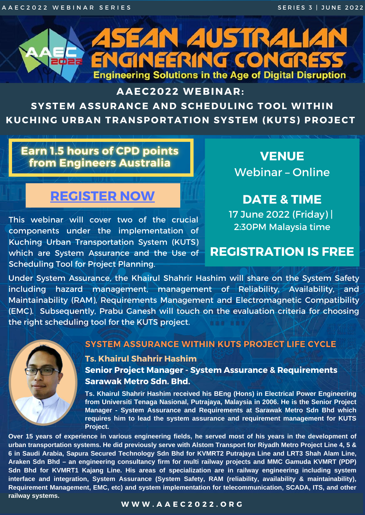A A E C 2 0 2 2 W E B I N A R S E R I E S S C R I E S S G E R I E S S I JUNE 2022

# **ASEAN AUSTRALIAN** ENGINEERING CONGRESS **<u>adaa</u> Engineering Solutions in the Age of Digital Disruption**

### **AAEC2022 WEBINAR:**

## **SYSTEM ASSURANCE AND SCHEDULING TOOL WITHIN KUCHING URBAN TRANSPORTATION SYSTEM (KUTS) PROJECT**

# **Earn 1.5 hours of CPD points** from Engineers Australia

**VENUE** Webinar – Online

**DATE & TIME** 17 June 2022 (Friday) | 2:30PM Malaysia time

# **REGISTRATION IS FREE**

This webinar will cover two of the crucial components under the implementation of Kuching Urban Transportation System (KUTS) which are System Assurance and the Use of Scheduling Tool for Project Planning.

# **[REGISTER](https://cvent.me/yvnEem) NOW**

#### **W W W . A A E C 2 0 2 2 . O R G**

#### **Ts. Khairul Shahrir Hashim**

**Senior Project Manager - System Assurance & Requirements Sarawak Metro Sdn. Bhd.**

Under System Assurance, the Khairul Shahrir Hashim will share on the System Safety including hazard management, management of Reliability, Availability, and Maintainability (RAM), Requirements Management and Electromagnetic Compatibility (EMC). Subsequently, Prabu Ganesh will touch on the evaluation criteria for choosing the right scheduling tool for the KUTS project.



### SYSTEM ASSURANCE WITHIN KUTS PROJECT LIFE CYCLE

Over 15 years of experience in various engineering fields, he served most of his years in the development of urban transportation systems. He did previously serve with Alstom Transport for Riyadh Metro Project Line 4, 5 & 6 in Saudi Arabia, Sapura Secured Technology Sdn Bhd for KVMRT2 Putrajaya Line and LRT3 Shah Alam Line, **Araken Sdn Bhd – an engineering consultancy firm for multi railway projects and MMC Gamuda KVMRT (PDP) Sdn Bhd for KVMRT1 Kajang Line. His areas of specialization are in railway engineering including system interface and integration, System Assurance (System Safety, RAM (reliability, availability & maintainability), Requirement Management, EMC, etc) and system implementation for telecommunication, SCADA, ITS, and other railway systems.**

**Ts. Khairul Shahrir Hashim received his BEng (Hons) in Electrical Power Engineering from Universiti Tenaga Nasional, Putrajaya, Malaysia in 2006. He is the Senior Project Manager - System Assurance and Requirements at Sarawak Metro Sdn Bhd which requires him to lead the system assurance and requirement management for KUTS Project.**